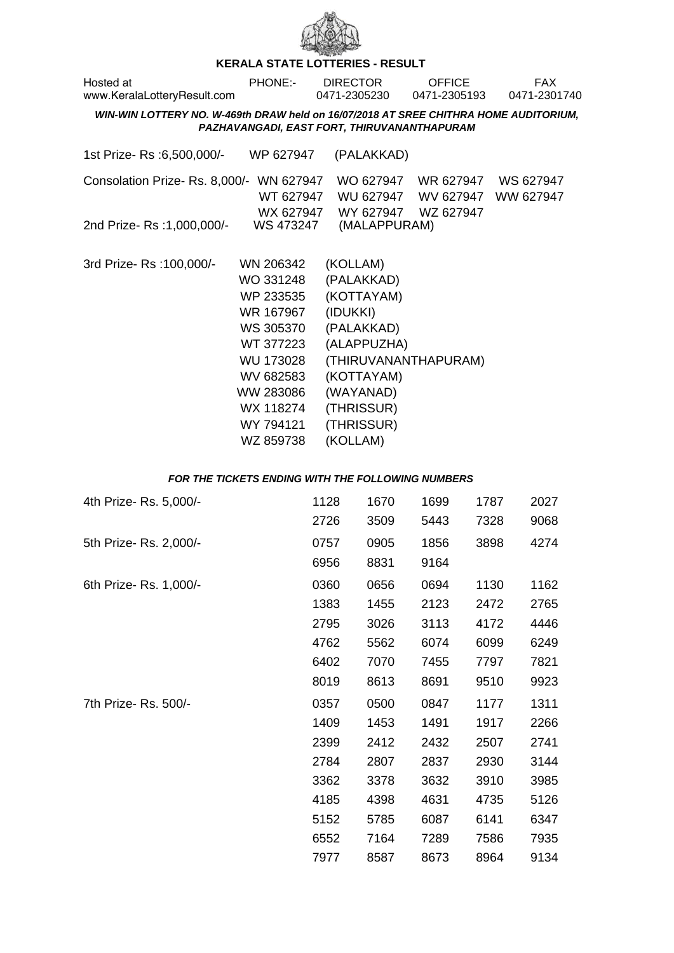

## **KERALA STATE LOTTERIES - RESULT**

| Hosted at<br>www.KeralaLotteryResult.com                                             | <b>PHONE:-</b>                                                                                                                                                  | <b>DIRECTOR</b><br>0471-2305230                                                                                                                                          | <b>OFFICE</b><br>0471-2305193       | <b>FAX</b><br>0471-2301740 |
|--------------------------------------------------------------------------------------|-----------------------------------------------------------------------------------------------------------------------------------------------------------------|--------------------------------------------------------------------------------------------------------------------------------------------------------------------------|-------------------------------------|----------------------------|
| WIN-WIN LOTTERY NO. W-469th DRAW held on 16/07/2018 AT SREE CHITHRA HOME AUDITORIUM, |                                                                                                                                                                 | PAZHAVANGADI, EAST FORT, THIRUVANANTHAPURAM                                                                                                                              |                                     |                            |
| 1st Prize-Rs : 6,500,000/-                                                           | WP 627947                                                                                                                                                       | (PALAKKAD)                                                                                                                                                               |                                     |                            |
| Consolation Prize-Rs. 8,000/-<br>2nd Prize- Rs : 1,000,000/-                         | WN 627947<br>WT 627947<br>WS 473247                                                                                                                             | WO 627947<br>WU 627947<br>WX 627947 WY 627947<br>(MALAPPURAM)                                                                                                            | WR 627947<br>WV 627947<br>WZ 627947 | WS 627947<br>WW 627947     |
| 3rd Prize-Rs: 100,000/-                                                              | WN 206342<br>WO 331248<br>WP 233535<br>WR 167967<br>WS 305370<br>WT 377223<br><b>WU 173028</b><br>WV 682583<br>WW 283086<br>WX 118274<br>WY 794121<br>WZ 859738 | (KOLLAM)<br>(PALAKKAD)<br>(KOTTAYAM)<br>(IDUKKI)<br>(PALAKKAD)<br>(ALAPPUZHA)<br>(THIRUVANANTHAPURAM)<br>(KOTTAYAM)<br>(WAYANAD)<br>(THRISSUR)<br>(THRISSUR)<br>(KOLLAM) |                                     |                            |

## **FOR THE TICKETS ENDING WITH THE FOLLOWING NUMBERS**

| 4th Prize-Rs. 5,000/- | 1128 | 1670 | 1699 | 1787 | 2027 |
|-----------------------|------|------|------|------|------|
|                       | 2726 | 3509 | 5443 | 7328 | 9068 |
| 5th Prize-Rs. 2,000/- | 0757 | 0905 | 1856 | 3898 | 4274 |
|                       | 6956 | 8831 | 9164 |      |      |
| 6th Prize-Rs. 1,000/- | 0360 | 0656 | 0694 | 1130 | 1162 |
|                       | 1383 | 1455 | 2123 | 2472 | 2765 |
|                       | 2795 | 3026 | 3113 | 4172 | 4446 |
|                       | 4762 | 5562 | 6074 | 6099 | 6249 |
|                       | 6402 | 7070 | 7455 | 7797 | 7821 |
|                       | 8019 | 8613 | 8691 | 9510 | 9923 |
| 7th Prize- Rs. 500/-  | 0357 | 0500 | 0847 | 1177 | 1311 |
|                       | 1409 | 1453 | 1491 | 1917 | 2266 |
|                       | 2399 | 2412 | 2432 | 2507 | 2741 |
|                       | 2784 | 2807 | 2837 | 2930 | 3144 |
|                       | 3362 | 3378 | 3632 | 3910 | 3985 |
|                       | 4185 | 4398 | 4631 | 4735 | 5126 |
|                       | 5152 | 5785 | 6087 | 6141 | 6347 |
|                       | 6552 | 7164 | 7289 | 7586 | 7935 |
|                       | 7977 | 8587 | 8673 | 8964 | 9134 |